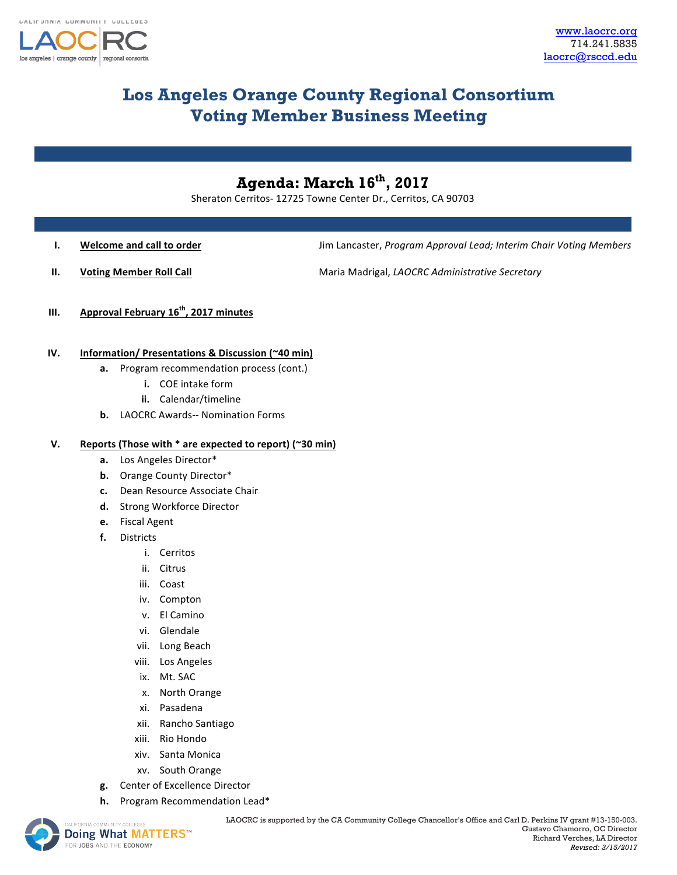

# **Los Angeles Orange County Regional Consortium Voting Member Business Meeting**

## **Agenda: March 16th, 2017**

Sheraton Cerritos- 12725 Towne Center Dr., Cerritos, CA 90703

**I. Welcome and call to order Jume 2008** Jim Lancaster, Program Approval Lead; Interim Chair Voting Members

**II. Voting Member Roll Call** Maria Madrigal, *LAOCRC Administrative Secretary* 

**III.** Approval February 16<sup>th</sup>, 2017 minutes

### **IV. Information/ Presentations & Discussion (~40 min)**

- **a.** Program recommendation process (cont.)
	- **i.** COE intake form
	- **ii.** Calendar/timeline
- **b.** LAOCRC Awards-- Nomination Forms

#### **V. Reports (Those with \* are expected to report) (~30 min)**

- a. Los Angeles Director\*
- **b.** Orange County Director\*
- **c.** Dean Resource Associate Chair
- d. Strong Workforce Director
- **e.** Fiscal Agent
- **f.** Districts
	- i. Cerritos
	- ii. Citrus
	- iii. Coast
	- iv. Compton
	- v. El Camino
	- vi. Glendale
	- vii. Long Beach
	- viii. Los Angeles
	- ix. Mt. SAC
	- x. North Orange
	- xi. Pasadena
	- xii. Rancho Santiago
	- xiii. Rio Hondo
	- xiv. Santa Monica
	- xv. South Orange
- **g.** Center of Excellence Director
- **h.** Program Recommendation Lead\*